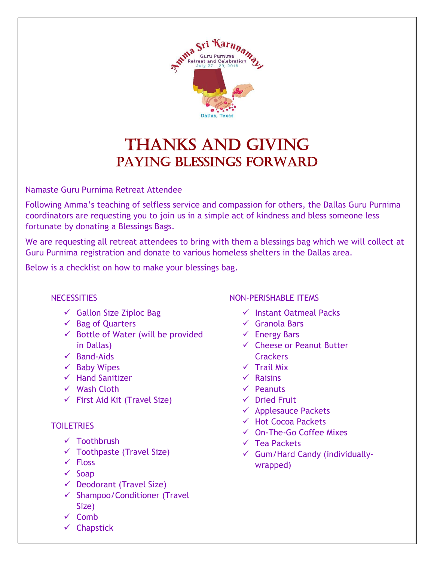

## THANKS AND GIVING PAYING BLESSINGS FORWARD

Namaste Guru Purnima Retreat Attendee

Following Amma's teaching of selfless service and compassion for others, the Dallas Guru Purnima coordinators are requesting you to join us in a simple act of kindness and bless someone less fortunate by donating a Blessings Bags.

We are requesting all retreat attendees to bring with them a blessings bag which we will collect at Guru Purnima registration and donate to various homeless shelters in the Dallas area.

Below is a checklist on how to make your blessings bag.

## **NECESSITIES**

- $\checkmark$  Gallon Size Ziploc Bag
- ✓ Bag of Quarters
- $\checkmark$  Bottle of Water (will be provided in Dallas)
- ✓ Band-Aids
- $\checkmark$  Baby Wipes
- ✓ Hand Sanitizer
- ✓ Wash Cloth
- $\checkmark$  First Aid Kit (Travel Size)

## **TOILETRIES**

- ✓ Toothbrush
- $\checkmark$  Toothpaste (Travel Size)
- ✓ Floss
- $\checkmark$  Soap
- ✓ Deodorant (Travel Size)
- ✓ Shampoo/Conditioner (Travel Size)
- ✓ Comb
- ✓ Chapstick

## NON-PERISHABLE ITEMS

- ✓ Instant Oatmeal Packs
- ✓ Granola Bars
- $\checkmark$  Energy Bars
- ✓ Cheese or Peanut Butter **Crackers**
- ✓ Trail Mix
- ✓ Raisins
- ✓ Peanuts
- ✓ Dried Fruit
- $\checkmark$  Applesauce Packets
- ✓ Hot Cocoa Packets
- ✓ On-The-Go Coffee Mixes
- ✓ Tea Packets
- ✓ Gum/Hard Candy (individuallywrapped)